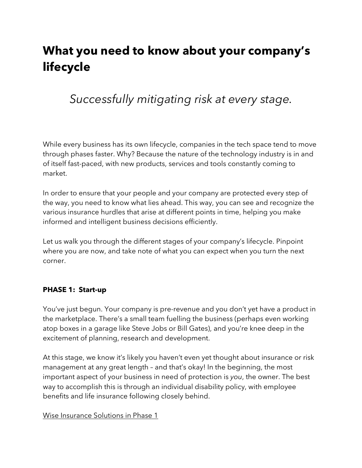# **What you need to know about your company's lifecycle**

## *Successfully mitigating risk at every stage.*

While every business has its own lifecycle, companies in the tech space tend to move through phases faster. Why? Because the nature of the technology industry is in and of itself fast-paced, with new products, services and tools constantly coming to market.

In order to ensure that your people and your company are protected every step of the way, you need to know what lies ahead. This way, you can see and recognize the various insurance hurdles that arise at different points in time, helping you make informed and intelligent business decisions efficiently.

Let us walk you through the different stages of your company's lifecycle. Pinpoint where you are now, and take note of what you can expect when you turn the next corner.

#### **PHASE 1: Start-up**

You've just begun. Your company is pre-revenue and you don't yet have a product in the marketplace. There's a small team fuelling the business (perhaps even working atop boxes in a garage like Steve Jobs or Bill Gates), and you're knee deep in the excitement of planning, research and development.

At this stage, we know it's likely you haven't even yet thought about insurance or risk management at any great length – and that's okay! In the beginning, the most important aspect of your business in need of protection is *you*, the owner. The best way to accomplish this is through an individual disability policy, with employee benefits and life insurance following closely behind.

#### Wise Insurance Solutions in Phase 1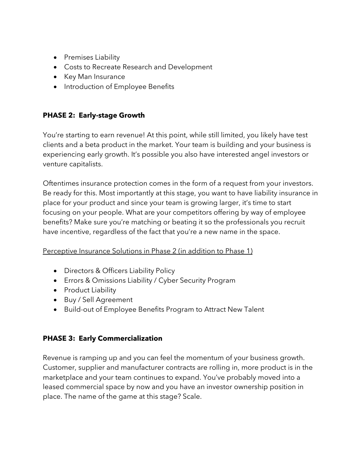- Premises Liability
- Costs to Recreate Research and Development
- Key Man Insurance
- Introduction of Employee Benefits

#### **PHASE 2: Early-stage Growth**

You're starting to earn revenue! At this point, while still limited, you likely have test clients and a beta product in the market. Your team is building and your business is experiencing early growth. It's possible you also have interested angel investors or venture capitalists.

Oftentimes insurance protection comes in the form of a request from your investors. Be ready for this. Most importantly at this stage, you want to have liability insurance in place for your product and since your team is growing larger, it's time to start focusing on your people. What are your competitors offering by way of employee benefits? Make sure you're matching or beating it so the professionals you recruit have incentive, regardless of the fact that you're a new name in the space.

#### Perceptive Insurance Solutions in Phase 2 (in addition to Phase 1)

- Directors & Officers Liability Policy
- Errors & Omissions Liability / Cyber Security Program
- Product Liability
- Buy / Sell Agreement
- Build-out of Employee Benefits Program to Attract New Talent

#### **PHASE 3: Early Commercialization**

Revenue is ramping up and you can feel the momentum of your business growth. Customer, supplier and manufacturer contracts are rolling in, more product is in the marketplace and your team continues to expand. You've probably moved into a leased commercial space by now and you have an investor ownership position in place. The name of the game at this stage? Scale.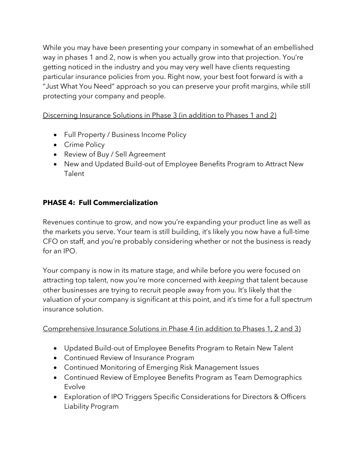While you may have been presenting your company in somewhat of an embellished way in phases 1 and 2, now is when you actually grow into that projection. You're getting noticed in the industry and you may very well have clients requesting particular insurance policies from you. Right now, your best foot forward is with a "Just What You Need" approach so you can preserve your profit margins, while still protecting your company and people.

Discerning Insurance Solutions in Phase 3 (in addition to Phases 1 and 2)

- Full Property / Business Income Policy
- Crime Policy
- Review of Buy / Sell Agreement
- New and Updated Build-out of Employee Benefits Program to Attract New Talent

### **PHASE 4: Full Commercialization**

Revenues continue to grow, and now you're expanding your product line as well as the markets you serve. Your team is still building, it's likely you now have a full-time CFO on staff, and you're probably considering whether or not the business is ready for an IPO.

Your company is now in its mature stage, and while before you were focused on attracting top talent, now you're more concerned with *keeping* that talent because other businesses are trying to recruit people away from you. It's likely that the valuation of your company is significant at this point, and it's time for a full spectrum insurance solution.

#### Comprehensive Insurance Solutions in Phase 4 (in addition to Phases 1, 2 and 3)

- Updated Build-out of Employee Benefits Program to Retain New Talent
- Continued Review of Insurance Program
- Continued Monitoring of Emerging Risk Management Issues
- Continued Review of Employee Benefits Program as Team Demographics Evolve
- Exploration of IPO Triggers Specific Considerations for Directors & Officers Liability Program